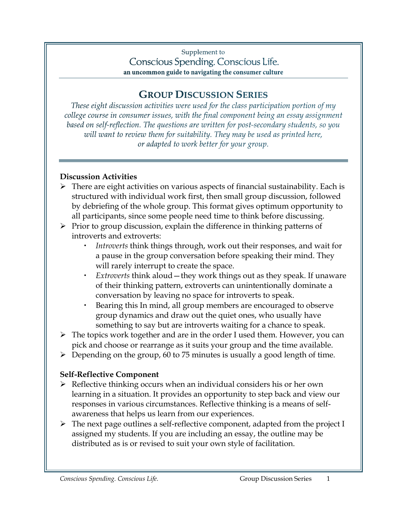## Supplement to Conscious Spending. Conscious Life. an uncommon guide to navigating the consumer culture

## **GROUP DISCUSSION SERIES**

These eight discussion activities were used for the class participation portion of my college course in consumer issues, with the final component being an essay assignment based on self-reflection. The questions are written for post-secondary students, so you will want to review them for suitability. They may be used as printed here, or adapted to work better for your group.

## **Discussion Activities**

- $\triangleright$  There are eight activities on various aspects of financial sustainability. Each is structured with individual work first, then small group discussion, followed by debriefing of the whole group. This format gives optimum opportunity to all participants, since some people need time to think before discussing.
- $\triangleright$  Prior to group discussion, explain the difference in thinking patterns of introverts and extroverts:
	- *Introverts* think things through, work out their responses, and wait for a pause in the group conversation before speaking their mind. They will rarely interrupt to create the space.
	- *Extroverts* think aloud—they work things out as they speak. If unaware of their thinking pattern, extroverts can unintentionally dominate a conversation by leaving no space for introverts to speak.
	- Bearing this In mind, all group members are encouraged to observe group dynamics and draw out the quiet ones, who usually have something to say but are introverts waiting for a chance to speak.
- $\triangleright$  The topics work together and are in the order I used them. However, you can pick and choose or rearrange as it suits your group and the time available.
- $\triangleright$  Depending on the group, 60 to 75 minutes is usually a good length of time.

## **Self-Reflective Component**

- $\triangleright$  Reflective thinking occurs when an individual considers his or her own learning in a situation. It provides an opportunity to step back and view our responses in various circumstances. Reflective thinking is a means of selfawareness that helps us learn from our experiences.
- > The next page outlines a self-reflective component, adapted from the project I assigned my students. If you are including an essay, the outline may be distributed as is or revised to suit your own style of facilitation.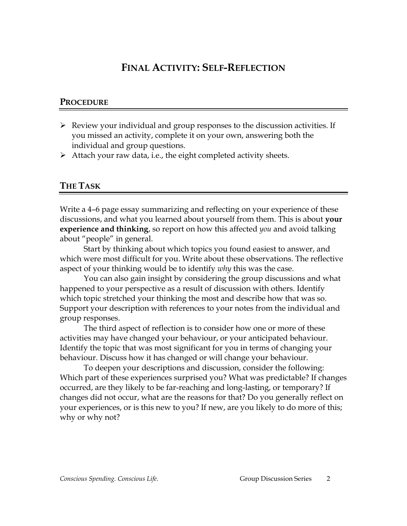## **FINAL ACTIVITY: SELF-REFLECTION**

## **PROCEDURE**

- $\triangleright$  Review your individual and group responses to the discussion activities. If you missed an activity, complete it on your own, answering both the individual and group questions.
- $\triangleright$  Attach your raw data, i.e., the eight completed activity sheets.

## **THE TASK**

Write a 4–6 page essay summarizing and reflecting on your experience of these discussions, and what you learned about yourself from them. This is about **your experience and thinking**, so report on how this affected *you* and avoid talking about "people" in general.

Start by thinking about which topics you found easiest to answer, and which were most difficult for you. Write about these observations. The reflective aspect of your thinking would be to identify *why* this was the case.

You can also gain insight by considering the group discussions and what happened to your perspective as a result of discussion with others. Identify which topic stretched your thinking the most and describe how that was so. Support your description with references to your notes from the individual and group responses.

The third aspect of reflection is to consider how one or more of these activities may have changed your behaviour, or your anticipated behaviour. Identify the topic that was most significant for you in terms of changing your behaviour. Discuss how it has changed or will change your behaviour.

To deepen your descriptions and discussion, consider the following: Which part of these experiences surprised you? What was predictable? If changes occurred, are they likely to be far-reaching and long-lasting, or temporary? If changes did not occur, what are the reasons for that? Do you generally reflect on your experiences, or is this new to you? If new, are you likely to do more of this; why or why not?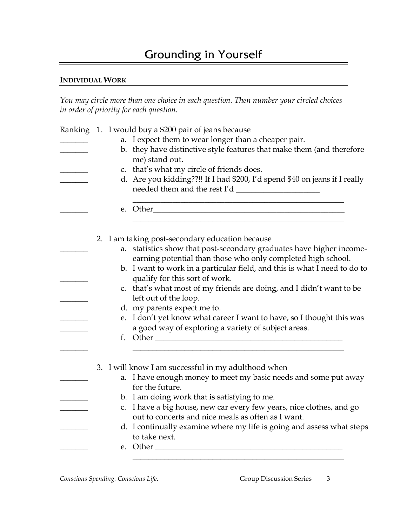# Grounding in Yourself

#### **INDIVIDUAL WORK**

*You may circle more than one choice in each question. Then number your circled choices in order of priority for each question.*

|  | Ranking 1. I would buy a \$200 pair of jeans because                                                                 |  |  |  |
|--|----------------------------------------------------------------------------------------------------------------------|--|--|--|
|  | a. I expect them to wear longer than a cheaper pair.                                                                 |  |  |  |
|  | b. they have distinctive style features that make them (and therefore                                                |  |  |  |
|  | me) stand out.                                                                                                       |  |  |  |
|  | c. that's what my circle of friends does.                                                                            |  |  |  |
|  | d. Are you kidding??!! If I had \$200, I'd spend \$40 on jeans if I really                                           |  |  |  |
|  |                                                                                                                      |  |  |  |
|  | <u> 1989 - Johann Barbara, marka a shekara tsa 1989 - An tsa 1989 - An tsa 1989 - An tsa 1989 - An tsa 1989 - An</u> |  |  |  |
|  | 2. I am taking post-secondary education because                                                                      |  |  |  |
|  | a. statistics show that post-secondary graduates have higher income-                                                 |  |  |  |
|  | earning potential than those who only completed high school.                                                         |  |  |  |
|  | b. I want to work in a particular field, and this is what I need to do to                                            |  |  |  |
|  | qualify for this sort of work.                                                                                       |  |  |  |
|  | c. that's what most of my friends are doing, and I didn't want to be                                                 |  |  |  |
|  | left out of the loop.                                                                                                |  |  |  |
|  | d. my parents expect me to.                                                                                          |  |  |  |
|  | e. I don't yet know what career I want to have, so I thought this was                                                |  |  |  |
|  | a good way of exploring a variety of subject areas.                                                                  |  |  |  |
|  |                                                                                                                      |  |  |  |
|  |                                                                                                                      |  |  |  |
|  | 3. I will know I am successful in my adulthood when                                                                  |  |  |  |
|  | a. I have enough money to meet my basic needs and some put away<br>for the future.                                   |  |  |  |
|  | b. I am doing work that is satisfying to me.                                                                         |  |  |  |
|  | c. I have a big house, new car every few years, nice clothes, and go                                                 |  |  |  |
|  | out to concerts and nice meals as often as I want.                                                                   |  |  |  |
|  | d. I continually examine where my life is going and assess what steps                                                |  |  |  |
|  | to take next.                                                                                                        |  |  |  |
|  | e. Other $\_\_$                                                                                                      |  |  |  |
|  |                                                                                                                      |  |  |  |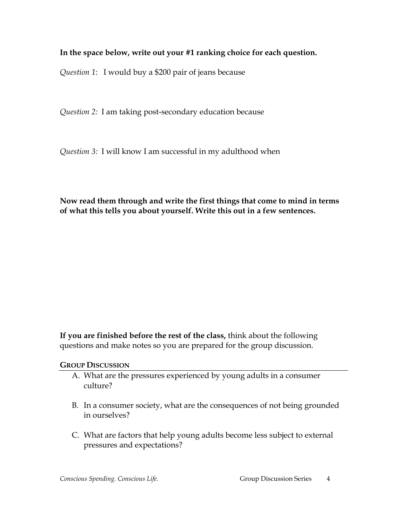## **In the space below, write out your #1 ranking choice for each question.**

*Question 1*: I would buy a \$200 pair of jeans because

*Question 2:* I am taking post-secondary education because

*Question 3:* I will know I am successful in my adulthood when

## **Now read them through and write the first things that come to mind in terms of what this tells you about yourself. Write this out in a few sentences.**

**If you are finished before the rest of the class,** think about the following questions and make notes so you are prepared for the group discussion.

**GROUP DISCUSSION**

- A. What are the pressures experienced by young adults in a consumer culture?
- B. In a consumer society, what are the consequences of not being grounded in ourselves?
- C. What are factors that help young adults become less subject to external pressures and expectations?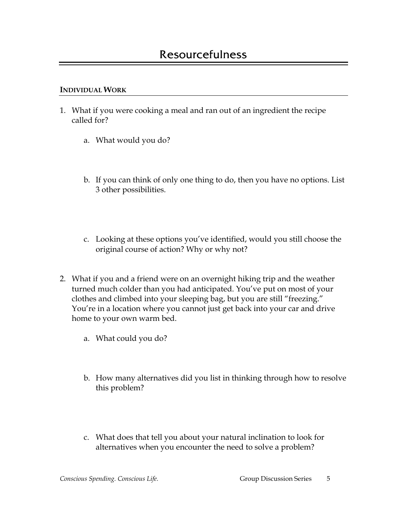- 1. What if you were cooking a meal and ran out of an ingredient the recipe called for?
	- a. What would you do?
	- b. If you can think of only one thing to do, then you have no options. List 3 other possibilities.
	- c. Looking at these options you've identified, would you still choose the original course of action? Why or why not?
- 2. What if you and a friend were on an overnight hiking trip and the weather turned much colder than you had anticipated. You've put on most of your clothes and climbed into your sleeping bag, but you are still "freezing." You're in a location where you cannot just get back into your car and drive home to your own warm bed.
	- a. What could you do?
	- b. How many alternatives did you list in thinking through how to resolve this problem?
	- c. What does that tell you about your natural inclination to look for alternatives when you encounter the need to solve a problem?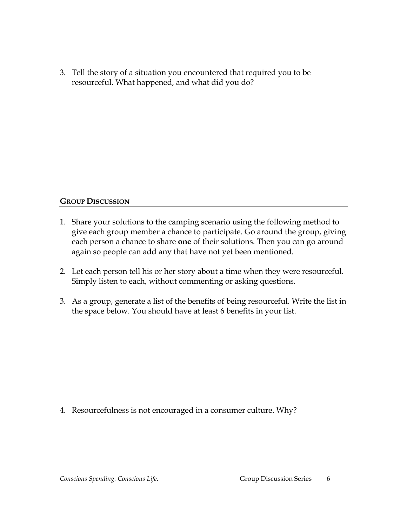3. Tell the story of a situation you encountered that required you to be resourceful. What happened, and what did you do?

#### **GROUP DISCUSSION**

- 1. Share your solutions to the camping scenario using the following method to give each group member a chance to participate. Go around the group, giving each person a chance to share **one** of their solutions. Then you can go around again so people can add any that have not yet been mentioned.
- 2. Let each person tell his or her story about a time when they were resourceful. Simply listen to each, without commenting or asking questions.
- 3. As a group, generate a list of the benefits of being resourceful. Write the list in the space below. You should have at least 6 benefits in your list.

4. Resourcefulness is not encouraged in a consumer culture. Why?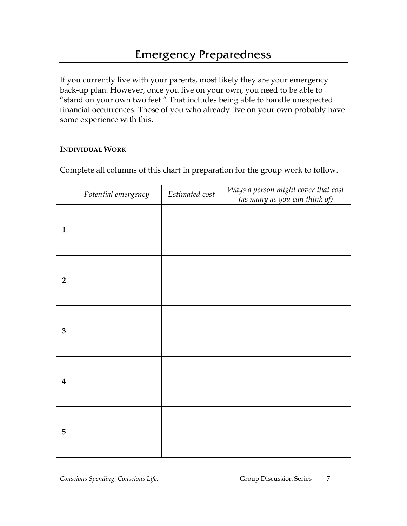If you currently live with your parents, most likely they are your emergency back-up plan. However, once you live on your own, you need to be able to "stand on your own two feet." That includes being able to handle unexpected financial occurrences. Those of you who already live on your own probably have some experience with this.

## **INDIVIDUAL WORK**

|                         | Potential emergency | Estimated cost | Ways a person might cover that cost<br>(as many as you can think of) |
|-------------------------|---------------------|----------------|----------------------------------------------------------------------|
| $\mathbf{1}$            |                     |                |                                                                      |
| $\overline{2}$          |                     |                |                                                                      |
| 3                       |                     |                |                                                                      |
| $\overline{\mathbf{4}}$ |                     |                |                                                                      |
| 5                       |                     |                |                                                                      |

Complete all columns of this chart in preparation for the group work to follow.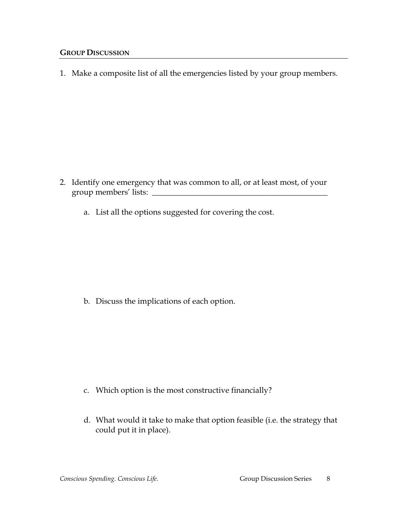1. Make a composite list of all the emergencies listed by your group members.

- 2. Identify one emergency that was common to all, or at least most, of your group members' lists: \_\_\_\_\_\_\_\_\_\_\_\_\_\_\_\_\_\_\_\_\_\_\_\_\_\_\_\_\_\_\_\_\_\_\_\_\_\_\_\_\_\_\_\_
	- a. List all the options suggested for covering the cost.

b. Discuss the implications of each option.

- c. Which option is the most constructive financially?
- d. What would it take to make that option feasible (i.e. the strategy that could put it in place).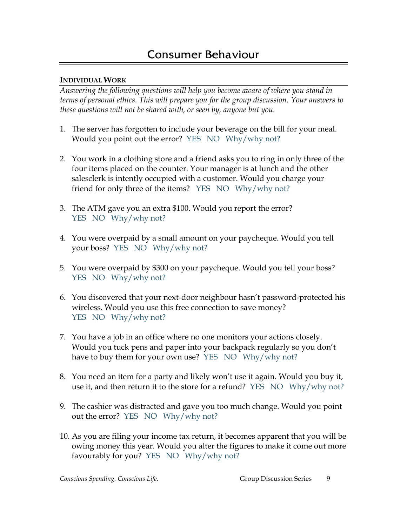*Answering the following questions will help you become aware of where you stand in terms of personal ethics. This will prepare you for the group discussion. Your answers to these questions will not be shared with, or seen by, anyone but you.* 

- 1. The server has forgotten to include your beverage on the bill for your meal. Would you point out the error? YES NO Why/why not?
- 2. You work in a clothing store and a friend asks you to ring in only three of the four items placed on the counter. Your manager is at lunch and the other salesclerk is intently occupied with a customer. Would you charge your friend for only three of the items? YES NO Why/why not?
- 3. The ATM gave you an extra \$100. Would you report the error? YES NO Why/why not?
- 4. You were overpaid by a small amount on your paycheque. Would you tell your boss? YES NO Why/why not?
- 5. You were overpaid by \$300 on your paycheque. Would you tell your boss? YES NO Why/why not?
- 6. You discovered that your next-door neighbour hasn't password-protected his wireless. Would you use this free connection to save money? YES NO Why/why not?
- 7. You have a job in an office where no one monitors your actions closely. Would you tuck pens and paper into your backpack regularly so you don't have to buy them for your own use? YES NO Why/why not?
- 8. You need an item for a party and likely won't use it again. Would you buy it, use it, and then return it to the store for a refund? YES NO Why/why not?
- 9. The cashier was distracted and gave you too much change. Would you point out the error? YES NO Why/why not?
- 10. As you are filing your income tax return, it becomes apparent that you will be owing money this year. Would you alter the figures to make it come out more favourably for you? YES NO Why/why not?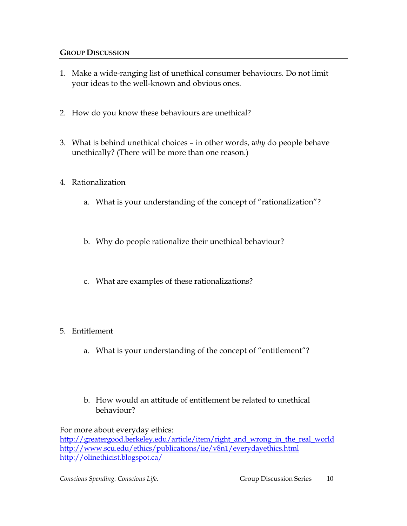- 1. Make a wide-ranging list of unethical consumer behaviours. Do not limit your ideas to the well-known and obvious ones.
- 2. How do you know these behaviours are unethical?
- 3. What is behind unethical choices in other words, *why* do people behave unethically? (There will be more than one reason.)
- 4. Rationalization
	- a. What is your understanding of the concept of "rationalization"?
	- b. Why do people rationalize their unethical behaviour?
	- c. What are examples of these rationalizations?
- 5. Entitlement
	- a. What is your understanding of the concept of "entitlement"?
	- b. How would an attitude of entitlement be related to unethical behaviour?

For more about everyday ethics: [http://greatergood.berkeley.edu/article/item/right\\_and\\_wrong\\_in\\_the\\_real\\_world](http://greatergood.berkeley.edu/article/item/right_and_wrong_in_the_real_world) <http://www.scu.edu/ethics/publications/iie/v8n1/everydayethics.html> <http://olinethicist.blogspot.ca/>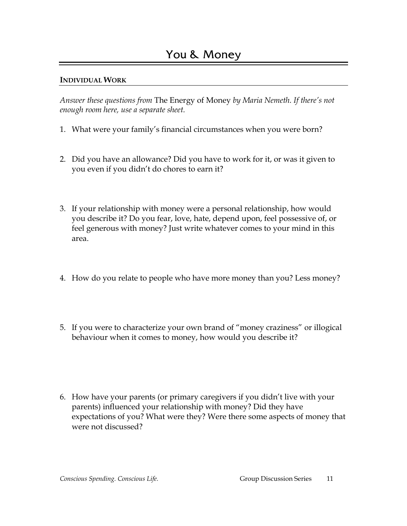*Answer these questions from* The Energy of Money *by Maria Nemeth. If there's not enough room here, use a separate sheet.*

- 1. What were your family's financial circumstances when you were born?
- 2. Did you have an allowance? Did you have to work for it, or was it given to you even if you didn't do chores to earn it?
- 3. If your relationship with money were a personal relationship, how would you describe it? Do you fear, love, hate, depend upon, feel possessive of, or feel generous with money? Just write whatever comes to your mind in this area.
- 4. How do you relate to people who have more money than you? Less money?
- 5. If you were to characterize your own brand of "money craziness" or illogical behaviour when it comes to money, how would you describe it?
- 6. How have your parents (or primary caregivers if you didn't live with your parents) influenced your relationship with money? Did they have expectations of you? What were they? Were there some aspects of money that were not discussed?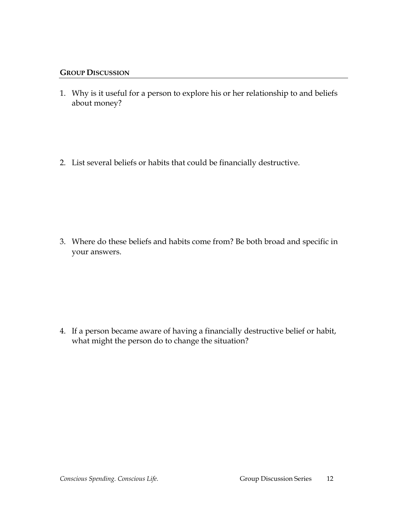- 1. Why is it useful for a person to explore his or her relationship to and beliefs about money?
- 2. List several beliefs or habits that could be financially destructive.

3. Where do these beliefs and habits come from? Be both broad and specific in your answers.

4. If a person became aware of having a financially destructive belief or habit, what might the person do to change the situation?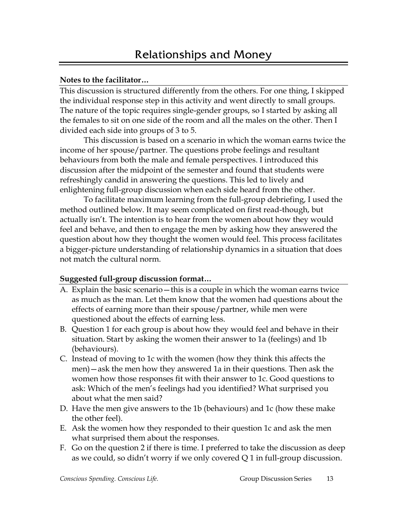#### **Notes to the facilitator…**

This discussion is structured differently from the others. For one thing, I skipped the individual response step in this activity and went directly to small groups. The nature of the topic requires single-gender groups, so I started by asking all the females to sit on one side of the room and all the males on the other. Then I divided each side into groups of 3 to 5.

This discussion is based on a scenario in which the woman earns twice the income of her spouse/partner. The questions probe feelings and resultant behaviours from both the male and female perspectives. I introduced this discussion after the midpoint of the semester and found that students were refreshingly candid in answering the questions. This led to lively and enlightening full-group discussion when each side heard from the other.

To facilitate maximum learning from the full-group debriefing, I used the method outlined below. It may seem complicated on first read-though, but actually isn't. The intention is to hear from the women about how they would feel and behave, and then to engage the men by asking how they answered the question about how they thought the women would feel. This process facilitates a bigger-picture understanding of relationship dynamics in a situation that does not match the cultural norm.

#### **Suggested full-group discussion format…**

- A. Explain the basic scenario—this is a couple in which the woman earns twice as much as the man. Let them know that the women had questions about the effects of earning more than their spouse/partner, while men were questioned about the effects of earning less.
- B. Question 1 for each group is about how they would feel and behave in their situation. Start by asking the women their answer to 1a (feelings) and 1b (behaviours).
- C. Instead of moving to 1c with the women (how they think this affects the men)—ask the men how they answered 1a in their questions. Then ask the women how those responses fit with their answer to 1c. Good questions to ask: Which of the men's feelings had you identified? What surprised you about what the men said?
- D. Have the men give answers to the 1b (behaviours) and 1c (how these make the other feel).
- E. Ask the women how they responded to their question 1c and ask the men what surprised them about the responses.
- F. Go on the question 2 if there is time. I preferred to take the discussion as deep as we could, so didn't worry if we only covered Q 1 in full-group discussion.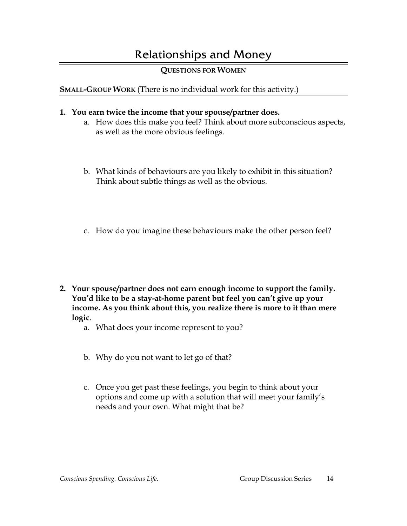# Relationships and Money

## **QUESTIONS FOR WOMEN**

## **SMALL-GROUP WORK** (There is no individual work for this activity.)

### **1. You earn twice the income that your spouse/partner does.**

- a. How does this make you feel? Think about more subconscious aspects, as well as the more obvious feelings.
- b. What kinds of behaviours are you likely to exhibit in this situation? Think about subtle things as well as the obvious.
- c. How do you imagine these behaviours make the other person feel?
- **2. Your spouse/partner does not earn enough income to support the family. You'd like to be a stay-at-home parent but feel you can't give up your income. As you think about this, you realize there is more to it than mere logic**.
	- a. What does your income represent to you?
	- b. Why do you not want to let go of that?
	- c. Once you get past these feelings, you begin to think about your options and come up with a solution that will meet your family's needs and your own. What might that be?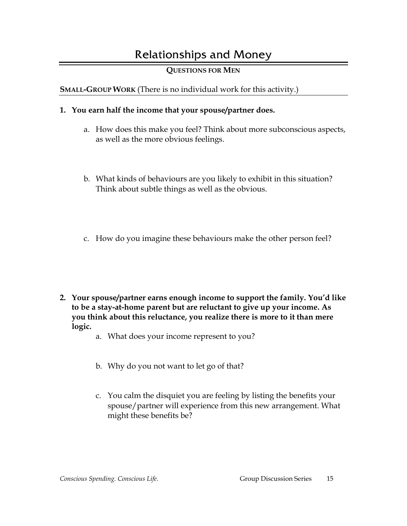# Relationships and Money

## **QUESTIONS FOR MEN**

## **SMALL-GROUP WORK** (There is no individual work for this activity.)

### **1. You earn half the income that your spouse/partner does.**

- a. How does this make you feel? Think about more subconscious aspects, as well as the more obvious feelings.
- b. What kinds of behaviours are you likely to exhibit in this situation? Think about subtle things as well as the obvious.
- c. How do you imagine these behaviours make the other person feel?
- **2. Your spouse/partner earns enough income to support the family. You'd like to be a stay-at-home parent but are reluctant to give up your income. As you think about this reluctance, you realize there is more to it than mere logic.**
	- a. What does your income represent to you?
	- b. Why do you not want to let go of that?
	- c. You calm the disquiet you are feeling by listing the benefits your spouse/partner will experience from this new arrangement. What might these benefits be?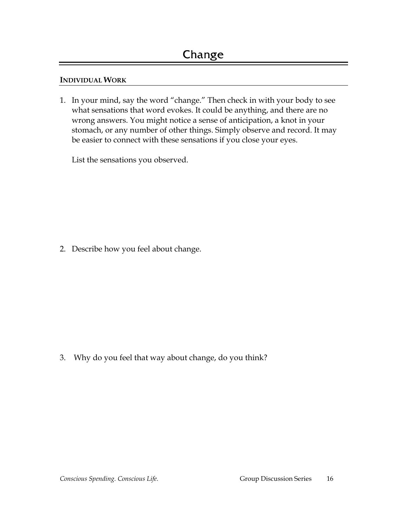1. In your mind, say the word "change." Then check in with your body to see what sensations that word evokes. It could be anything, and there are no wrong answers. You might notice a sense of anticipation, a knot in your stomach, or any number of other things. Simply observe and record. It may be easier to connect with these sensations if you close your eyes.

List the sensations you observed.

2. Describe how you feel about change.

3. Why do you feel that way about change, do you think?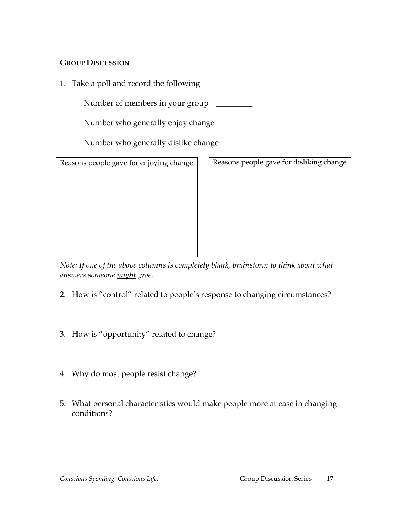1. Take a poll and record the following

Number of members in your group \_\_\_\_\_\_\_\_\_

Number who generally enjoy change \_\_\_\_\_\_\_\_\_

Number who generally dislike change \_\_\_\_\_\_\_\_

Reasons people gave for enjoying change  $\vert \vert$  Reasons people gave for disliking change

*Note: If one of the above columns is completely blank, brainstorm to think about what answers someone might give.* 

- 2. How is "control" related to people's response to changing circumstances?
- 3. How is "opportunity" related to change?
- 4. Why do most people resist change?
- 5. What personal characteristics would make people more at ease in changing conditions?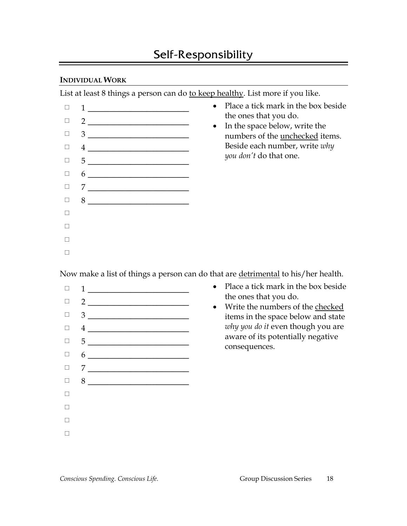List at least 8 things a person can do to keep healthy. List more if you like.



Now make a list of things a person can do that are detrimental to his/her health.